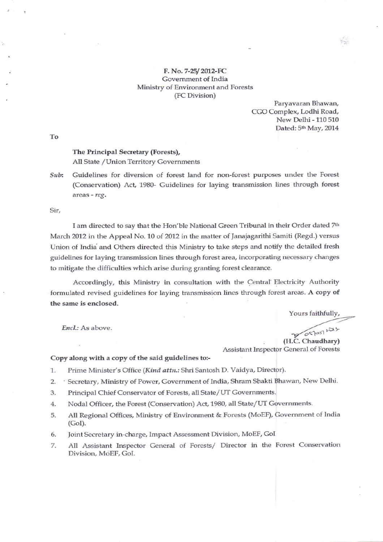## F. No. 7-25/2012-FC Govemment of India Ministry of Environment and Forests (FC Division)

Paryavaran Bhawan, CGO Complex, Lodhi Road, New Delhi - 110 510 Dated: 5<sup>th</sup> May, 2014

 $\mathcal{L}_{\text{in}}$ 

To

## The Principal Secretary (Forests), All State / Union Territory Governments

 $Sub:$  Guidelines for diversion of forest land for non-forest purposes under the Forest (Conservation) Act, 1980- Guidelines for laying transmission lines through forest areas - reg.

Sir,

I am directed to say that the Hon'ble National Green Tribunal in their Order dated 7th March 2012 in the Appeal No. 10 of 2012 in the matter of Janajagarithi Samiti (Regd.) versus Union of India and Others directed this Ministry to take steps and noffy the detailed fresh guidelines for laying transmission lines through forest area, incorporating necessary changes to mitigate the difficulties which arise during granting forest clearance.

Accordingly, this Ministry in consultation with the Central Electricity Authority formulated revised guidelines for laying transmission lines through forest areas. A copy of the same is enclosed.

Yours faithfully,

Encl.: As above.

 $057057$   $121$ (H.C. Chaudhary)

Assistant lnspector General of Forests

Copy along with a copy of the said guidelines to:-

- 1. Prime Minister's Office (Kind attn.: Shri Santosh D. Vaidya, Director).
- 2. Secretary, Ministry of Power, Government of India, Shram Shakti Bhawan, New Delhi.
- 3. Principal Chief Conservator of Forests, all State/ UT Governments.
- 4. Nodal Officer, the Forest (Conservation) Act,1980, all State/Uf Governments.
- 5. All Regional Offices, Ministry of Environment & Forests (MoEF), Government of India  $(GoI)$ .
- Joint Secretary in-charge, Impact Assessment Division, MoEF, GoI 6.
- All Assistant Inspector General of Forests/ Director in the Forest Conservation Diwision, MoEF. GoL 7.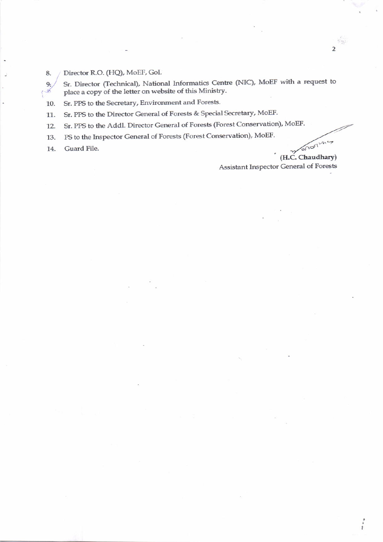Director R.O. (HQ), MoEF, GoI. 8.

Sr. Director (Technical), National Informatics Centre (NIC), MoEF with a request to  $9.$ place a copy of the letter on website of this Ministry.

Sr. PPS to the Secretary, Environment and Forests. 10.

Sr. PPS to the Director General of Forests & Special Secretary, MoEF. 11.

Sr. PPS to the Addl. Director General of Forests (Forest Conservation), MoEF. 12.

PS to the Inspector General of Forests (Forest Conservation), MoEF. 13.

Guard File. 14.

ø

ononing (H.C. Chaudhary)

Assistant Inspector General of Forests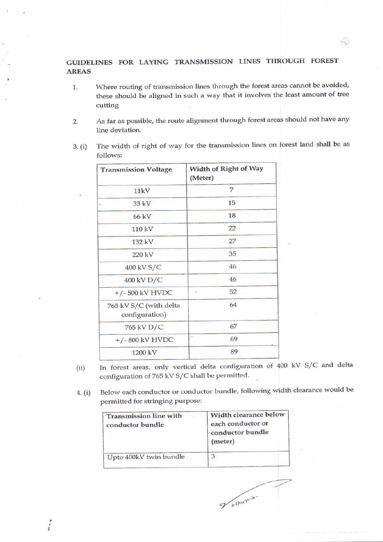## GUIDELINES FOR LAYING TRANSMISSION LINES THROUGH FOREST AREAS

- 1. Where routing of transmission lines through the forest areas cannot be avoided, these should be aligned in such a way that it involves the least amount of tree cutting
- 2. As far as possible, the route alignment through forest areas should not have any line deviation.
- 3. (i) The width of right of way for the transmission lines on forest land shall be as follows:

| <b>Transmission Voltage</b>              | Width of Right of Way<br>(Meter) |  |
|------------------------------------------|----------------------------------|--|
| 11kV                                     | 7                                |  |
| 33 kV                                    | 15                               |  |
| 66 kV                                    | 18                               |  |
| 110 kV                                   | 22                               |  |
| 132 kV                                   | 27                               |  |
| 220 kV                                   | 35                               |  |
| 400 kV S/C                               | 46                               |  |
| 400 kV D/C                               | 46                               |  |
| $+/-500$ kV HVDC                         | 52<br>×                          |  |
| 765 kV S/C (with delta<br>configuration) | 64                               |  |
| 765 kV D/C                               | 67                               |  |
| $+/-800$ kV HVDC                         | 69                               |  |
| 1200 kV                                  | 89                               |  |

- (ii) In forest areas, only vertical delta configuration of 400 kV S/C and delta configuration of 765 kV S/C shall be permitted.
- 4. (i) Below each conductor or conductor bundle, following width clearance would be permitted for stringing purpose:

of orderly

| <b>Transmission line with</b><br>conductor bundle | Width clearance below<br>each conductor or<br>conductor bundle<br>(meter) |
|---------------------------------------------------|---------------------------------------------------------------------------|
| Upto 400kV twin bundle                            | 3                                                                         |

 $\ddot{\cdot}$ 

 $\mathcal{P}(\mathcal{C})$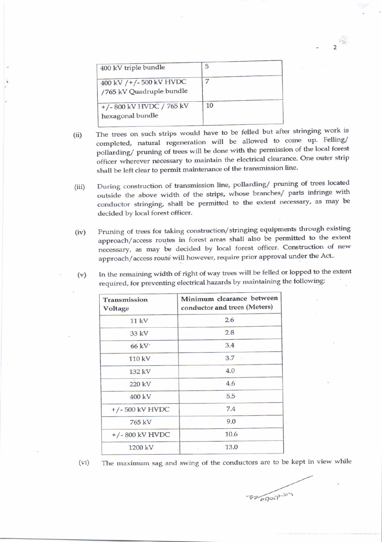| 400 kV triple bundle                               | 5  |
|----------------------------------------------------|----|
| 400 kV /+/-500 kV HVDC<br>/765 kV Quadruple bundle |    |
| $+/- 800$ kV HVDC $/ 765$ kV<br>hexagonal bundle   | 10 |

(ii) The trees on such strips would have to be felled but after stringing work is completed, natural regeneration will be allowed to come up. Felling/ pollarding/ pruning of trees will be done with the permission of the local forest officer wherever necessary to maintain the electrical clearance. One outer strip shall be left clear to permit maintenance of the transmission line.

 $2^{\frac{1}{2}}$ 

- (iii) During construction of transmission line, pollarding/ pruning of trees located outside the above width of the strips, whose branches/ parts infringe with conductor stringing, shall be permitted to the extent necessary, as may be decided by local forest officer.
- (iv) Pruning of trees for taking construction/stringing equipments through existing approach/access routes in forest areas shall also be permitted to the extent necessary, as may be decided by local forest officer. Construction of new approach/access route will however, require prior approval under the Act..

| (v) | In the remaining width of right of way trees will be felled or lopped to the extent |  |  |
|-----|-------------------------------------------------------------------------------------|--|--|
|     | required, for preventing electrical hazards by maintaining the following:           |  |  |

| Transmission<br>Voltage | Minimum clearance between<br>conductor and trees (Meters) |
|-------------------------|-----------------------------------------------------------|
| 11 kV                   | 2.6                                                       |
| 33 kV                   | 2.8                                                       |
| $66$ kV $\cdot$         | 3.4                                                       |
| 110 kV                  | $3.7 -$                                                   |
| 132 kV                  | 4.0                                                       |
| 220 kV                  | 4.6                                                       |
| $400 \text{ kV}$        | 5.5                                                       |
| $+/-500$ kV HVDC        | 7.4                                                       |
| 765 kV                  | 9.0                                                       |
| $+/-$ 800 kV HVDC       | 10.6                                                      |
| 1200 kV                 | 13.0                                                      |

(vi) The maximum sag and swing of the conductors are to be kept in view while

 $7200000001)$